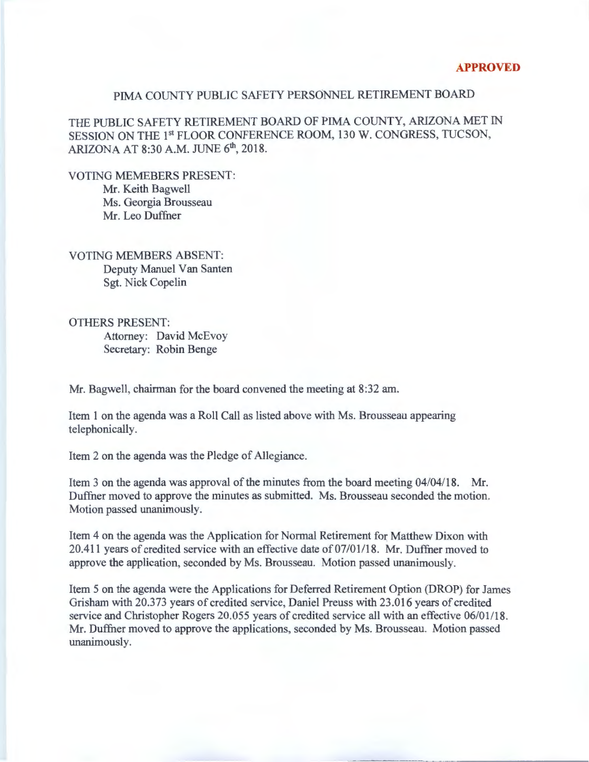## PIMA COUNTY PUBLIC SAFETY PERSONNEL RETIREMENT BOARD

THE PUBLIC SAFETY RETIREMENT BOARD OF PIMA COUNTY, ARIZONA MET IN SESSION ON THE 1<sup>st</sup> FLOOR CONFERENCE ROOM, 130 W. CONGRESS, TUCSON, ARIZONA AT 8:30 A.M. JUNE 6<sup>th</sup>, 2018.

VOTING MEMEBERS PRESENT: Mr. Keith Bagwell Ms. Georgia Brousseau Mr. Leo Duffner

VOTING MEMBERS ABSENT: Deputy Manuel Van Santen Sgt. Nick Copelin

OTHERS PRESENT: Attorney: David McEvoy Secretary: Robin Benge

Mr. Bagwell, chairman for the board convened the meeting at 8:32am.

Item 1 on the agenda was a Roll Call as listed above with Ms. Brousseau appearing telephonically.

Item 2 on the agenda was the Pledge of Allegiance.

Item 3 on the agenda was approval of the minutes from the board meeting 04/04/18. Mr. Duffner moved to approve the minutes as submitted. Ms. Brousseau seconded the motion. Motion passed unanimously.

Item 4 on the agenda was the Application for Normal Retirement for Matthew Dixon with 20.411 years of credited service with an effective date of 07/01/18. Mr. Duffner moved to approve the application, seconded by Ms. Brousseau. Motion passed unanimously.

Item 5 on the agenda were the Applications for Deferred Retirement Option (DROP) for James Grisham with 20.373 years of credited service, Daniel Preuss with 23.016 years of credited service and Christopher Rogers 20.055 years of credited service all with an effective 06/01/18. Mr. Duffner moved to approve the applications, seconded by Ms. Brousseau. Motion passed unanimously.